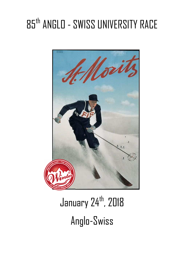# 85th ANGLO - SWISS UNIVERSITY RACE



January 24<sup>th</sup>, 2018 Anglo-Swiss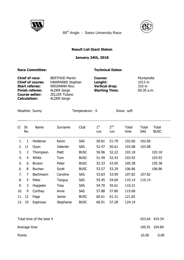



85<sup>th</sup> Anglo - Swiss University Race

### **Result List Giant Slalom**

# **January 24th, 2018**

### **Race Committee:** Technical Dates:

| <b>Chief of race:</b>   | <b>BERTHOD Martin</b>   | <b>Course:</b>        | Muntanella |
|-------------------------|-------------------------|-----------------------|------------|
| <b>Chief of course:</b> | <b>HAWRANKE Stephan</b> | Lenght:               | 1013 m     |
| <b>Start referee:</b>   | <b>WEGMANN Nico</b>     | <b>Vertical drop:</b> | 310 m      |
| <b>Finish referee:</b>  | <b>ALDER Serge</b>      | <b>Starting Time:</b> | 09.30 a.m. |
| <b>Course setter:</b>   | <b>ZELLER Tiziano</b>   |                       |            |
| <b>Calculation:</b>     | <b>ALDER Serge</b>      |                       |            |

Weather: Sunny Temperature: -5 Snow: soft

 $\overline{\phantom{a}}$ 

| CI     | St-<br>No      | Name          | Surname     | Club        | $1^{\rm st}$<br>run | 2 <sup>nd</sup><br>run | Total<br>time | Total<br><b>SAS</b> | Total<br><b>BUSC</b> |
|--------|----------------|---------------|-------------|-------------|---------------------|------------------------|---------------|---------------------|----------------------|
| 1.     | 1              | Holdener      | Kevin       | <b>SAS</b>  | 50.81               | 51.79                  | 102.60        | 102.60              |                      |
| 2.     | 11             | Oyon          | Valentin    | <b>SAS</b>  | 52.47               | 50.61                  | 103.08        | 103.08              |                      |
| 3.     | $\overline{2}$ | Thompson      | Matt        | <b>BUSC</b> | 50.96               | 52.22                  | 103.18        |                     | 103.18               |
| 4.     | 4              | White         | Tom         | <b>BUSC</b> | 51.49               | 52.43                  | 103.92        |                     | 103.92               |
| 5.     | 6              | <b>Bruton</b> | Peter       | <b>BUSC</b> | 52.33               | 53.05                  | 105.38        |                     | 105.38               |
| 6.     | 8              | <b>Buchan</b> | Scott       | <b>BUSC</b> | 53.57               | 53.29                  | 106.86        |                     | 106.86               |
| 7.     | 7              | Bachmann      | Caroline    | <b>SAS</b>  | 53.83               | 53.99                  | 107.82        | 107.82              |                      |
| 8.     | 5              | Peter         | Tanguy      | <b>SAS</b>  | 55.45               | 54.69                  | 110.14        | 110.14              |                      |
| 9.     | 3              | Hoppeler      | <b>Tess</b> | <b>SAS</b>  | 54.70               | 55.61                  | 110.31        |                     |                      |
| 10.    | 9              | Corthay       | Anne        | <b>SAS</b>  | 57.88               | 57.80                  | 115.68        |                     |                      |
| 11. 12 |                | Page          | Jamie       | <b>BUSC</b> | 60.61               | 61.21                  | 121.82        |                     |                      |
| 12.    | 10             | Espinosa      | Stephanie   | <b>BUSC</b> | 66.91               | 57.28                  | 124.19        |                     |                      |

| Total time of the best 4 | 423.64 419.34 |      |
|--------------------------|---------------|------|
| Average time             | 105.91 104.84 |      |
| Points                   | 10.00         | 0.00 |